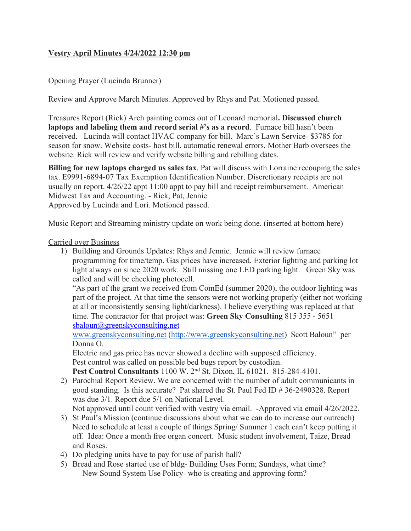## **Vestry April Minutes 4/24/2022 12:30 pm**

### Opening Prayer (Lucinda Brunner)

Review and Approve March Minutes. Approved by Rhys and Pat. Motioned passed.

Treasures Report (Rick) Arch painting comes out of Leonard memorial**. Discussed church laptops and labeling them and record serial #'s as a record**. Furnace bill hasn't been received. Lucinda will contact HVAC company for bill. Marc's Lawn Service- \$3785 for season for snow. Website costs- host bill, automatic renewal errors, Mother Barb oversees the website. Rick will review and verify website billing and rebilling dates.

**Billing for new laptops charged us sales tax**. Pat will discuss with Lorraine recouping the sales tax. E9991-6894-07 Tax Exemption Identification Number. Discretionary receipts are not usually on report. 4/26/22 appt 11:00 appt to pay bill and receipt reimbursement. American Midwest Tax and Accounting. - Rick, Pat, Jennie Approved by Lucinda and Lori. Motioned passed.

Music Report and Streaming ministry update on work being done. (inserted at bottom here)

#### Carried over Business

1) Building and Grounds Updates: Rhys and Jennie. Jennie will review furnace programming for time/temp. Gas prices have increased. Exterior lighting and parking lot light always on since 2020 work. Still missing one LED parking light. Green Sky was called and will be checking photocell.

"As part of the grant we received from ComEd (summer 2020), the outdoor lighting was part of the project. At that time the sensors were not working properly (either not working at all or inconsistently sensing light/darkness). I believe everything was replaced at that time. The contractor for that project was: **Green Sky Consulting** 815 355 - 5651 sbaloun@greenskyconsulting.net

www.greenskyconsulting.net (http://www.greenskyconsulting.net) Scott Baloun" per Donna O.

Electric and gas price has never showed a decline with supposed efficiency. Pest control was called on possible bed bugs report by custodian.

**Pest Control Consultants** 1100 W. 2nd St. Dixon, IL 61021. 815-284-4101.

2) Parochial Report Review. We are concerned with the number of adult communicants in good standing. Is this accurate? Pat shared the St. Paul Fed ID # 36-2490328. Report was due 3/1. Report due 5/1 on National Level.

Not approved until count verified with vestry via email. -Approved via email 4/26/2022.

- 3) St Paul's Mission (continue discussions about what we can do to increase our outreach) Need to schedule at least a couple of things Spring/ Summer 1 each can't keep putting it off. Idea: Once a month free organ concert. Music student involvement, Taize, Bread and Roses.
- 4) Do pledging units have to pay for use of parish hall?
- 5) Bread and Rose started use of bldg- Building Uses Form; Sundays, what time? New Sound System Use Policy- who is creating and approving form?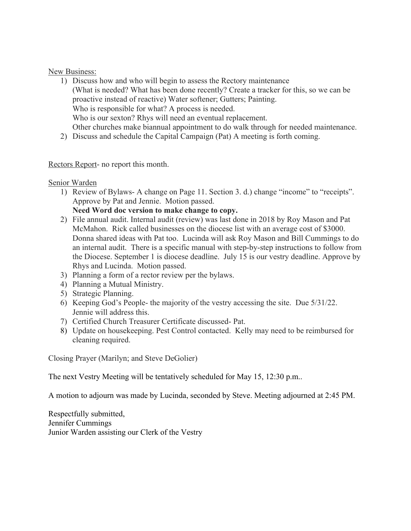#### New Business:

- 1) Discuss how and who will begin to assess the Rectory maintenance (What is needed? What has been done recently? Create a tracker for this, so we can be proactive instead of reactive) Water softener; Gutters; Painting. Who is responsible for what? A process is needed. Who is our sexton? Rhys will need an eventual replacement. Other churches make biannual appointment to do walk through for needed maintenance.
- 2) Discuss and schedule the Capital Campaign (Pat) A meeting is forth coming.

### Rectors Report- no report this month.

### Senior Warden

1) Review of Bylaws- A change on Page 11. Section 3. d.) change "income" to "receipts". Approve by Pat and Jennie. Motion passed.

## **Need Word doc version to make change to copy.**

- 2) File annual audit. Internal audit (review) was last done in 2018 by Roy Mason and Pat McMahon. Rick called businesses on the diocese list with an average cost of \$3000. Donna shared ideas with Pat too. Lucinda will ask Roy Mason and Bill Cummings to do an internal audit. There is a specific manual with step-by-step instructions to follow from the Diocese. September 1 is diocese deadline. July 15 is our vestry deadline. Approve by Rhys and Lucinda. Motion passed.
- 3) Planning a form of a rector review per the bylaws.
- 4) Planning a Mutual Ministry.
- 5) Strategic Planning.
- 6) Keeping God's People- the majority of the vestry accessing the site. Due 5/31/22. Jennie will address this.
- 7) Certified Church Treasurer Certificate discussed- Pat.
- 8) Update on housekeeping. Pest Control contacted. Kelly may need to be reimbursed for cleaning required.

Closing Prayer (Marilyn; and Steve DeGolier)

The next Vestry Meeting will be tentatively scheduled for May 15, 12:30 p.m..

A motion to adjourn was made by Lucinda, seconded by Steve. Meeting adjourned at 2:45 PM.

Respectfully submitted, Jennifer Cummings Junior Warden assisting our Clerk of the Vestry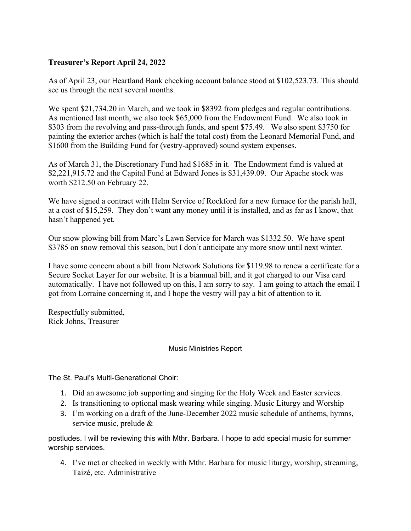## **Treasurer's Report April 24, 2022**

As of April 23, our Heartland Bank checking account balance stood at \$102,523.73. This should see us through the next several months.

We spent \$21,734.20 in March, and we took in \$8392 from pledges and regular contributions. As mentioned last month, we also took \$65,000 from the Endowment Fund. We also took in \$303 from the revolving and pass-through funds, and spent \$75.49. We also spent \$3750 for painting the exterior arches (which is half the total cost) from the Leonard Memorial Fund, and \$1600 from the Building Fund for (vestry-approved) sound system expenses.

As of March 31, the Discretionary Fund had \$1685 in it. The Endowment fund is valued at \$2,221,915.72 and the Capital Fund at Edward Jones is \$31,439.09. Our Apache stock was worth \$212.50 on February 22.

We have signed a contract with Helm Service of Rockford for a new furnace for the parish hall, at a cost of \$15,259. They don't want any money until it is installed, and as far as I know, that hasn't happened yet.

Our snow plowing bill from Marc's Lawn Service for March was \$1332.50. We have spent \$3785 on snow removal this season, but I don't anticipate any more snow until next winter.

I have some concern about a bill from Network Solutions for \$119.98 to renew a certificate for a Secure Socket Layer for our website. It is a biannual bill, and it got charged to our Visa card automatically. I have not followed up on this, I am sorry to say. I am going to attach the email I got from Lorraine concerning it, and I hope the vestry will pay a bit of attention to it.

Respectfully submitted, Rick Johns, Treasurer

#### Music Ministries Report

The St. Paul's Multi-Generational Choir:

- 1. Did an awesome job supporting and singing for the Holy Week and Easter services.
- 2. Is transitioning to optional mask wearing while singing. Music Liturgy and Worship
- 3. I'm working on a draft of the June-December 2022 music schedule of anthems, hymns, service music, prelude &

postludes. I will be reviewing this with Mthr. Barbara. I hope to add special music for summer worship services.

4. I've met or checked in weekly with Mthr. Barbara for music liturgy, worship, streaming, Taizé, etc. Administrative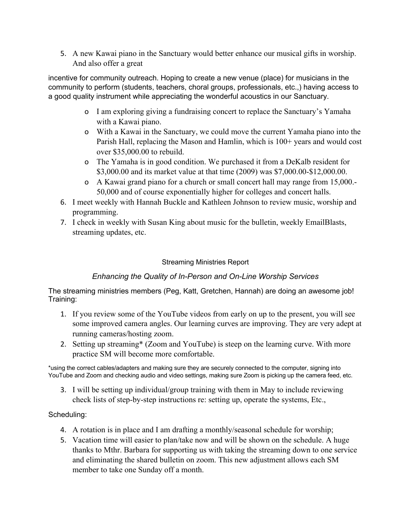5. A new Kawai piano in the Sanctuary would better enhance our musical gifts in worship. And also offer a great

incentive for community outreach. Hoping to create a new venue (place) for musicians in the community to perform (students, teachers, choral groups, professionals, etc.,) having access to a good quality instrument while appreciating the wonderful acoustics in our Sanctuary.

- o I am exploring giving a fundraising concert to replace the Sanctuary's Yamaha with a Kawai piano.
- o With a Kawai in the Sanctuary, we could move the current Yamaha piano into the Parish Hall, replacing the Mason and Hamlin, which is 100+ years and would cost over \$35,000.00 to rebuild.
- o The Yamaha is in good condition. We purchased it from a DeKalb resident for \$3,000.00 and its market value at that time (2009) was \$7,000.00-\$12,000.00.
- o A Kawai grand piano for a church or small concert hall may range from 15,000.- 50,000 and of course exponentially higher for colleges and concert halls.
- 6. I meet weekly with Hannah Buckle and Kathleen Johnson to review music, worship and programming.
- 7. I check in weekly with Susan King about music for the bulletin, weekly EmailBlasts, streaming updates, etc.

## Streaming Ministries Report

# *Enhancing the Quality of In-Person and On-Line Worship Services*

The streaming ministries members (Peg, Katt, Gretchen, Hannah) are doing an awesome job! Training:

- 1. If you review some of the YouTube videos from early on up to the present, you will see some improved camera angles. Our learning curves are improving. They are very adept at running cameras/hosting zoom.
- 2. Setting up streaming\* (Zoom and YouTube) is steep on the learning curve. With more practice SM will become more comfortable.

\*using the correct cables/adapters and making sure they are securely connected to the computer, signing into YouTube and Zoom and checking audio and video settings, making sure Zoom is picking up the camera feed, etc.

3. I will be setting up individual/group training with them in May to include reviewing check lists of step-by-step instructions re: setting up, operate the systems, Etc.,

### Scheduling:

- 4. A rotation is in place and I am drafting a monthly/seasonal schedule for worship;
- 5. Vacation time will easier to plan/take now and will be shown on the schedule. A huge thanks to Mthr. Barbara for supporting us with taking the streaming down to one service and eliminating the shared bulletin on zoom. This new adjustment allows each SM member to take one Sunday off a month.